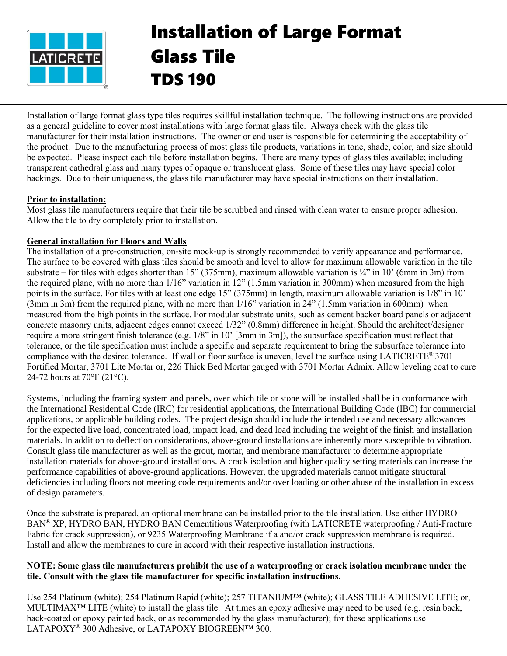

# Installation of Large Format Glass Tile TDS 190

Installation of large format glass type tiles requires skillful installation technique. The following instructions are provided as a general guideline to cover most installations with large format glass tile. Always check with the glass tile manufacturer for their installation instructions. The owner or end user is responsible for determining the acceptability of the product. Due to the manufacturing process of most glass tile products, variations in tone, shade, color, and size should be expected. Please inspect each tile before installation begins. There are many types of glass tiles available; including transparent cathedral glass and many types of opaque or translucent glass. Some of these tiles may have special color backings. Due to their uniqueness, the glass tile manufacturer may have special instructions on their installation.

# **Prior to installation:**

Most glass tile manufacturers require that their tile be scrubbed and rinsed with clean water to ensure proper adhesion. Allow the tile to dry completely prior to installation.

# **General installation for Floors and Walls**

The installation of a pre-construction, on-site mock-up is strongly recommended to verify appearance and performance. The surface to be covered with glass tiles should be smooth and level to allow for maximum allowable variation in the tile substrate – for tiles with edges shorter than 15" (375mm), maximum allowable variation is  $\frac{1}{4}$ " in 10' (6mm in 3m) from the required plane, with no more than 1/16" variation in 12" (1.5mm variation in 300mm) when measured from the high points in the surface. For tiles with at least one edge 15" (375mm) in length, maximum allowable variation is 1/8" in 10' (3mm in 3m) from the required plane, with no more than 1/16" variation in 24" (1.5mm variation in 600mm) when measured from the high points in the surface. For modular substrate units, such as cement backer board panels or adjacent concrete masonry units, adjacent edges cannot exceed 1/32" (0.8mm) difference in height. Should the architect/designer require a more stringent finish tolerance (e.g. 1/8" in 10' [3mm in 3m]), the subsurface specification must reflect that tolerance, or the tile specification must include a specific and separate requirement to bring the subsurface tolerance into compliance with the desired tolerance. If wall or floor surface is uneven, level the surface using LATICRETE® 3701 Fortified Mortar, 3701 Lite Mortar or, 226 Thick Bed Mortar gauged with 3701 Mortar Admix. Allow leveling coat to cure 24-72 hours at 70°F (21°C).

Systems, including the framing system and panels, over which tile or stone will be installed shall be in conformance with the International Residential Code (IRC) for residential applications, the International Building Code (IBC) for commercial applications, or applicable building codes. The project design should include the intended use and necessary allowances for the expected live load, concentrated load, impact load, and dead load including the weight of the finish and installation materials. In addition to deflection considerations, above-ground installations are inherently more susceptible to vibration. Consult glass tile manufacturer as well as the grout, mortar, and membrane manufacturer to determine appropriate installation materials for above-ground installations. A crack isolation and higher quality setting materials can increase the performance capabilities of above-ground applications. However, the upgraded materials cannot mitigate structural deficiencies including floors not meeting code requirements and/or over loading or other abuse of the installation in excess of design parameters.

Once the substrate is prepared, an optional membrane can be installed prior to the tile installation. Use either HYDRO BAN® XP, HYDRO BAN, HYDRO BAN Cementitious Waterproofing (with LATICRETE waterproofing / Anti-Fracture Fabric for crack suppression), or 9235 Waterproofing Membrane if a and/or crack suppression membrane is required. Install and allow the membranes to cure in accord with their respective installation instructions.

## **NOTE: Some glass tile manufacturers prohibit the use of a waterproofing or crack isolation membrane under the tile. Consult with the glass tile manufacturer for specific installation instructions.**

Use 254 Platinum (white); 254 Platinum Rapid (white); 257 TITANIUM™ (white); GLASS TILE ADHESIVE LITE; or, MULTIMAX<sup>™</sup> LITE (white) to install the glass tile. At times an epoxy adhesive may need to be used (e.g. resin back, back-coated or epoxy painted back, or as recommended by the glass manufacturer); for these applications use LATAPOXY<sup>®</sup> 300 Adhesive, or LATAPOXY BIOGREEN™ 300.